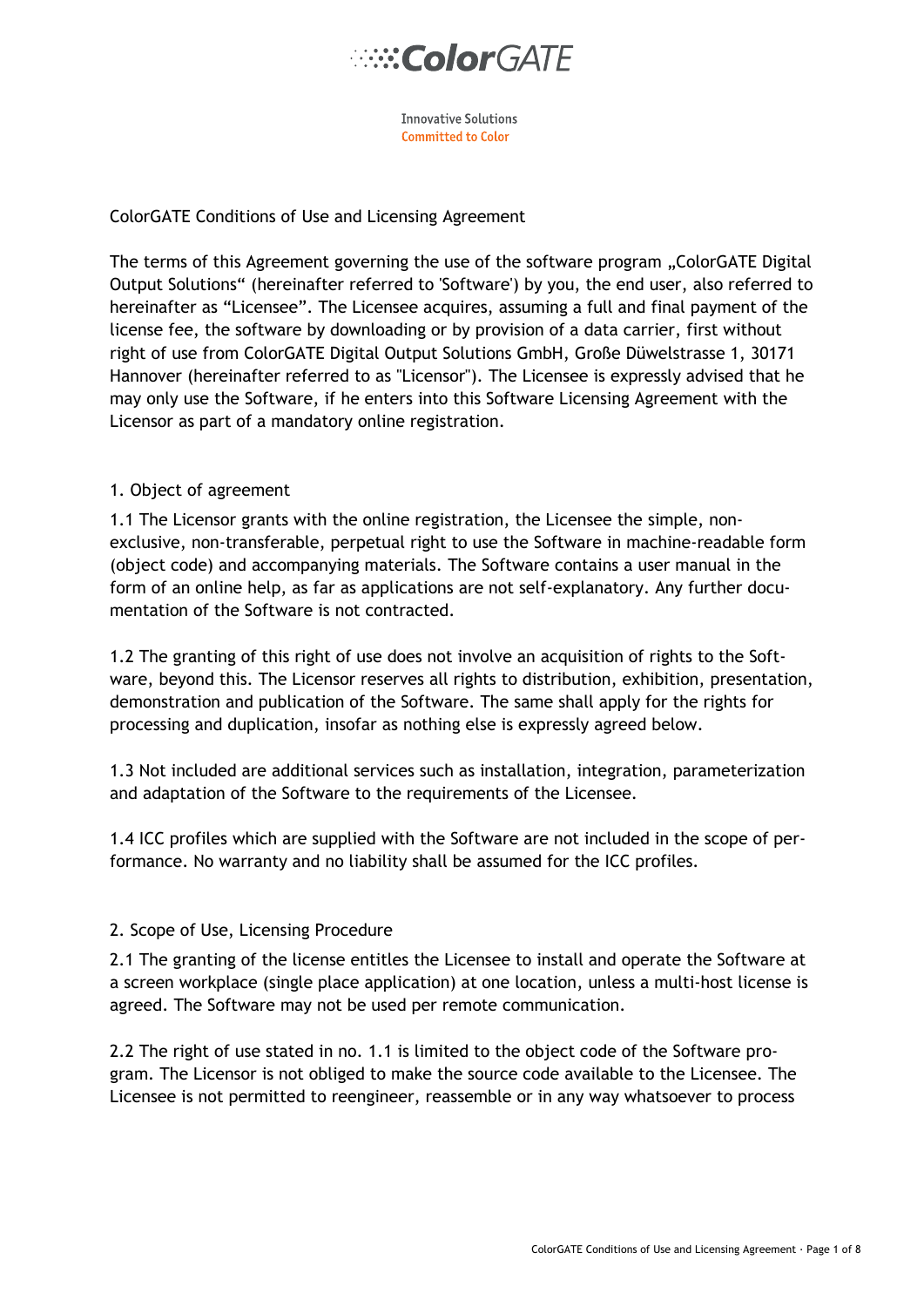**Innovative Solutions** Committed to Color

### ColorGATE Conditions of Use and Licensing Agreement

The terms of this Agreement governing the use of the software program "ColorGATE Digital Output Solutions" (hereinafter referred to 'Software') by you, the end user, also referred to hereinafter as "Licensee". The Licensee acquires, assuming a full and final payment of the license fee, the software by downloading or by provision of a data carrier, first without right of use from ColorGATE Digital Output Solutions GmbH, Große Düwelstrasse 1, 30171 Hannover (hereinafter referred to as "Licensor"). The Licensee is expressly advised that he may only use the Software, if he enters into this Software Licensing Agreement with the Licensor as part of a mandatory online registration.

### 1. Object of agreement

1.1 The Licensor grants with the online registration, the Licensee the simple, nonexclusive, non-transferable, perpetual right to use the Software in machine-readable form (object code) and accompanying materials. The Software contains a user manual in the form of an online help, as far as applications are not self-explanatory. Any further documentation of the Software is not contracted.

1.2 The granting of this right of use does not involve an acquisition of rights to the Software, beyond this. The Licensor reserves all rights to distribution, exhibition, presentation, demonstration and publication of the Software. The same shall apply for the rights for processing and duplication, insofar as nothing else is expressly agreed below.

1.3 Not included are additional services such as installation, integration, parameterization and adaptation of the Software to the requirements of the Licensee.

1.4 ICC profiles which are supplied with the Software are not included in the scope of performance. No warranty and no liability shall be assumed for the ICC profiles.

### 2. Scope of Use, Licensing Procedure

2.1 The granting of the license entitles the Licensee to install and operate the Software at a screen workplace (single place application) at one location, unless a multi-host license is agreed. The Software may not be used per remote communication.

2.2 The right of use stated in no. 1.1 is limited to the object code of the Software program. The Licensor is not obliged to make the source code available to the Licensee. The Licensee is not permitted to reengineer, reassemble or in any way whatsoever to process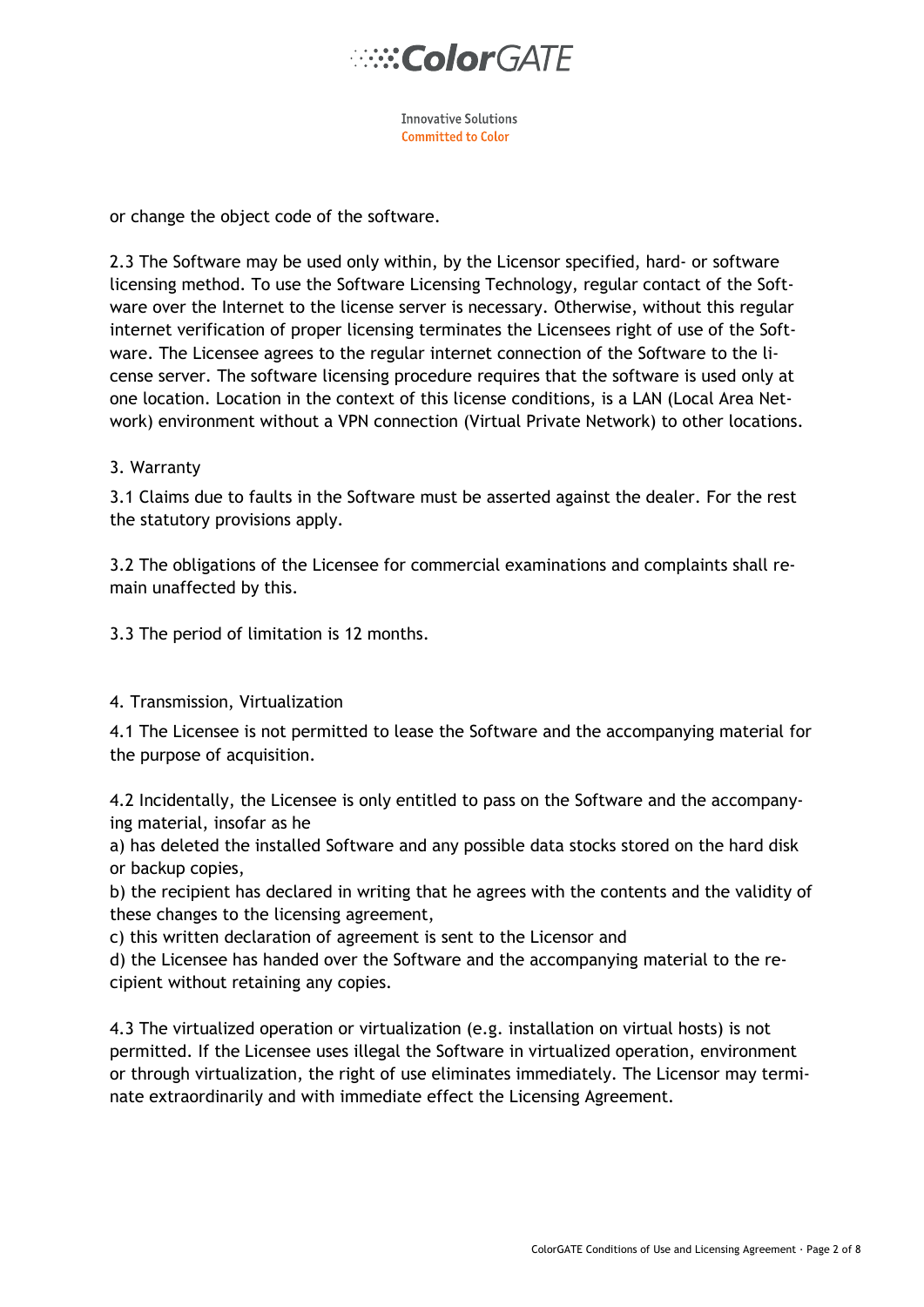

**Innovative Solutions Committed to Color** 

or change the object code of the software.

2.3 The Software may be used only within, by the Licensor specified, hard- or software licensing method. To use the Software Licensing Technology, regular contact of the Software over the Internet to the license server is necessary. Otherwise, without this regular internet verification of proper licensing terminates the Licensees right of use of the Software. The Licensee agrees to the regular internet connection of the Software to the license server. The software licensing procedure requires that the software is used only at one location. Location in the context of this license conditions, is a LAN (Local Area Network) environment without a VPN connection (Virtual Private Network) to other locations.

### 3. Warranty

3.1 Claims due to faults in the Software must be asserted against the dealer. For the rest the statutory provisions apply.

3.2 The obligations of the Licensee for commercial examinations and complaints shall remain unaffected by this.

3.3 The period of limitation is 12 months.

### 4. Transmission, Virtualization

4.1 The Licensee is not permitted to lease the Software and the accompanying material for the purpose of acquisition.

4.2 Incidentally, the Licensee is only entitled to pass on the Software and the accompanying material, insofar as he

a) has deleted the installed Software and any possible data stocks stored on the hard disk or backup copies,

b) the recipient has declared in writing that he agrees with the contents and the validity of these changes to the licensing agreement,

c) this written declaration of agreement is sent to the Licensor and

d) the Licensee has handed over the Software and the accompanying material to the recipient without retaining any copies.

4.3 The virtualized operation or virtualization (e.g. installation on virtual hosts) is not permitted. If the Licensee uses illegal the Software in virtualized operation, environment or through virtualization, the right of use eliminates immediately. The Licensor may terminate extraordinarily and with immediate effect the Licensing Agreement.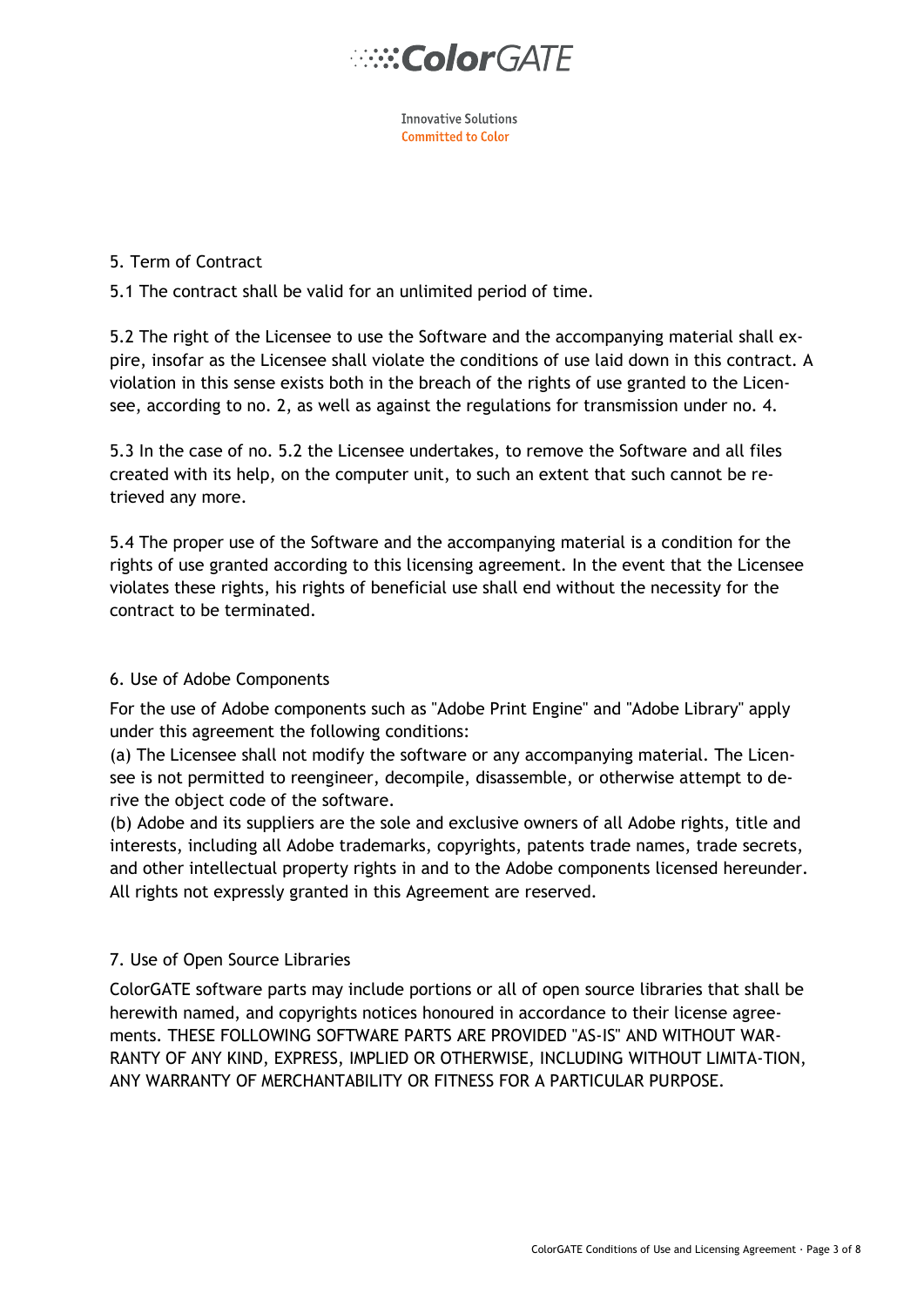

**Innovative Solutions Committed to Color** 

### 5. Term of Contract

## 5.1 The contract shall be valid for an unlimited period of time.

5.2 The right of the Licensee to use the Software and the accompanying material shall expire, insofar as the Licensee shall violate the conditions of use laid down in this contract. A violation in this sense exists both in the breach of the rights of use granted to the Licensee, according to no. 2, as well as against the regulations for transmission under no. 4.

5.3 In the case of no. 5.2 the Licensee undertakes, to remove the Software and all files created with its help, on the computer unit, to such an extent that such cannot be retrieved any more.

5.4 The proper use of the Software and the accompanying material is a condition for the rights of use granted according to this licensing agreement. In the event that the Licensee violates these rights, his rights of beneficial use shall end without the necessity for the contract to be terminated.

### 6. Use of Adobe Components

For the use of Adobe components such as "Adobe Print Engine" and "Adobe Library" apply under this agreement the following conditions:

(a) The Licensee shall not modify the software or any accompanying material. The Licensee is not permitted to reengineer, decompile, disassemble, or otherwise attempt to derive the object code of the software.

(b) Adobe and its suppliers are the sole and exclusive owners of all Adobe rights, title and interests, including all Adobe trademarks, copyrights, patents trade names, trade secrets, and other intellectual property rights in and to the Adobe components licensed hereunder. All rights not expressly granted in this Agreement are reserved.

# 7. Use of Open Source Libraries

ColorGATE software parts may include portions or all of open source libraries that shall be herewith named, and copyrights notices honoured in accordance to their license agreements. THESE FOLLOWING SOFTWARE PARTS ARE PROVIDED "AS-IS" AND WITHOUT WAR-RANTY OF ANY KIND, EXPRESS, IMPLIED OR OTHERWISE, INCLUDING WITHOUT LIMITA-TION, ANY WARRANTY OF MERCHANTABILITY OR FITNESS FOR A PARTICULAR PURPOSE.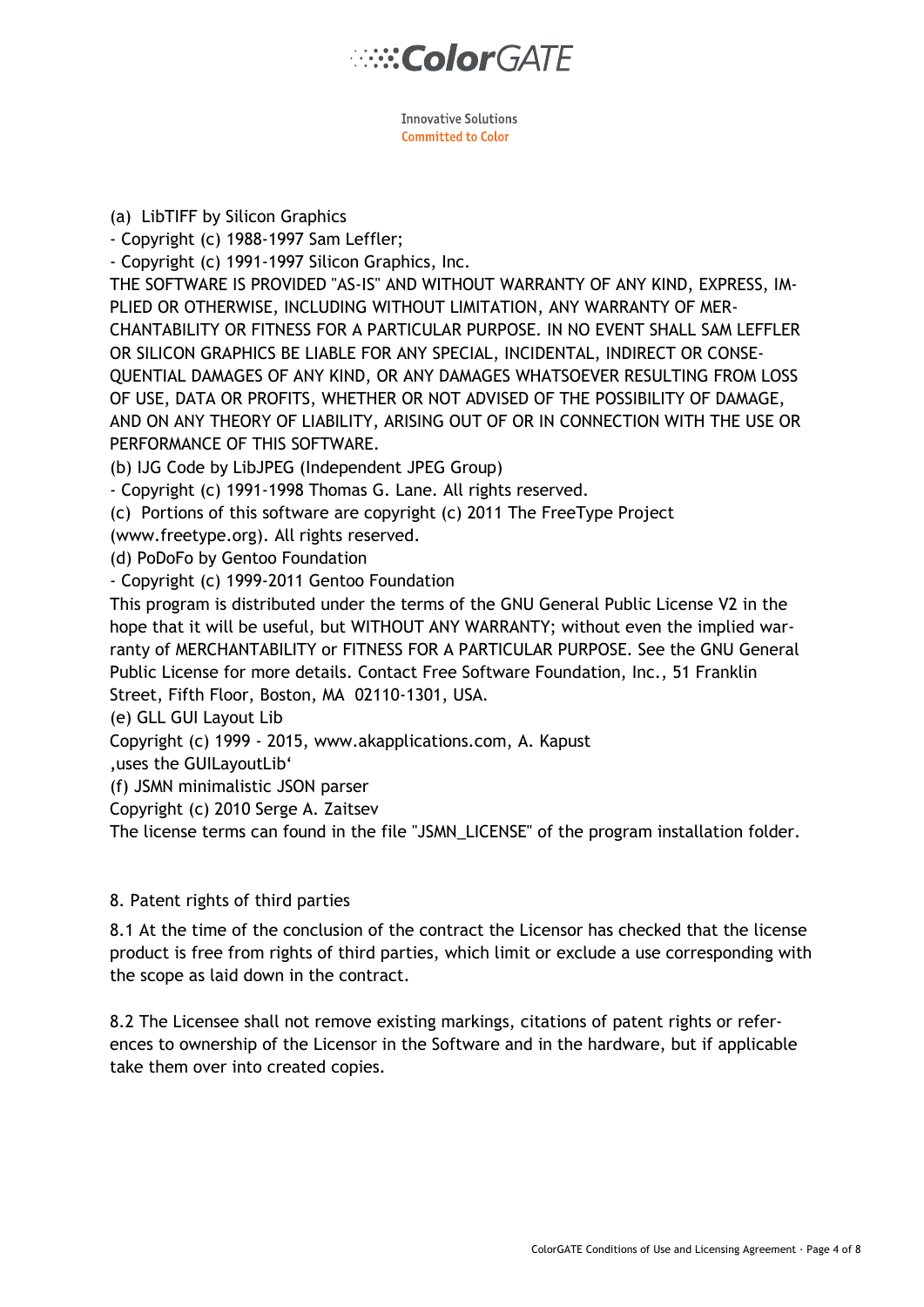**Innovative Solutions** Committed to Color

(a) LibTIFF by Silicon Graphics

- Copyright (c) 1988-1997 Sam Leffler;

- Copyright (c) 1991-1997 Silicon Graphics, Inc.

THE SOFTWARE IS PROVIDED "AS-IS" AND WITHOUT WARRANTY OF ANY KIND, EXPRESS, IM-PLIED OR OTHERWISE, INCLUDING WITHOUT LIMITATION, ANY WARRANTY OF MER-CHANTABILITY OR FITNESS FOR A PARTICULAR PURPOSE. IN NO EVENT SHALL SAM LEFFLER OR SILICON GRAPHICS BE LIABLE FOR ANY SPECIAL, INCIDENTAL, INDIRECT OR CONSE-QUENTIAL DAMAGES OF ANY KIND, OR ANY DAMAGES WHATSOEVER RESULTING FROM LOSS OF USE, DATA OR PROFITS, WHETHER OR NOT ADVISED OF THE POSSIBILITY OF DAMAGE, AND ON ANY THEORY OF LIABILITY, ARISING OUT OF OR IN CONNECTION WITH THE USE OR PERFORMANCE OF THIS SOFTWARE.

(b) IJG Code by LibJPEG (Independent JPEG Group)

- Copyright (c) 1991-1998 Thomas G. Lane. All rights reserved.

(c) Portions of this software are copyright (c) 2011 The FreeType Project

(www.freetype.org). All rights reserved.

(d) PoDoFo by Gentoo Foundation

- Copyright (c) 1999-2011 Gentoo Foundation

This program is distributed under the terms of the GNU General Public License V2 in the hope that it will be useful, but WITHOUT ANY WARRANTY; without even the implied warranty of MERCHANTABILITY or FITNESS FOR A PARTICULAR PURPOSE. See the GNU General Public License for more details. Contact Free Software Foundation, Inc., 51 Franklin Street, Fifth Floor, Boston, MA 02110-1301, USA.

(e) GLL GUI Layout Lib

Copyright (c) 1999 - 2015, www.akapplications.com, A. Kapust

'uses the GUILayoutLib'

(f) JSMN minimalistic JSON parser

Copyright (c) 2010 Serge A. Zaitsev

The license terms can found in the file "JSMN\_LICENSE" of the program installation folder.

### 8. Patent rights of third parties

8.1 At the time of the conclusion of the contract the Licensor has checked that the license product is free from rights of third parties, which limit or exclude a use corresponding with the scope as laid down in the contract.

8.2 The Licensee shall not remove existing markings, citations of patent rights or references to ownership of the Licensor in the Software and in the hardware, but if applicable take them over into created copies.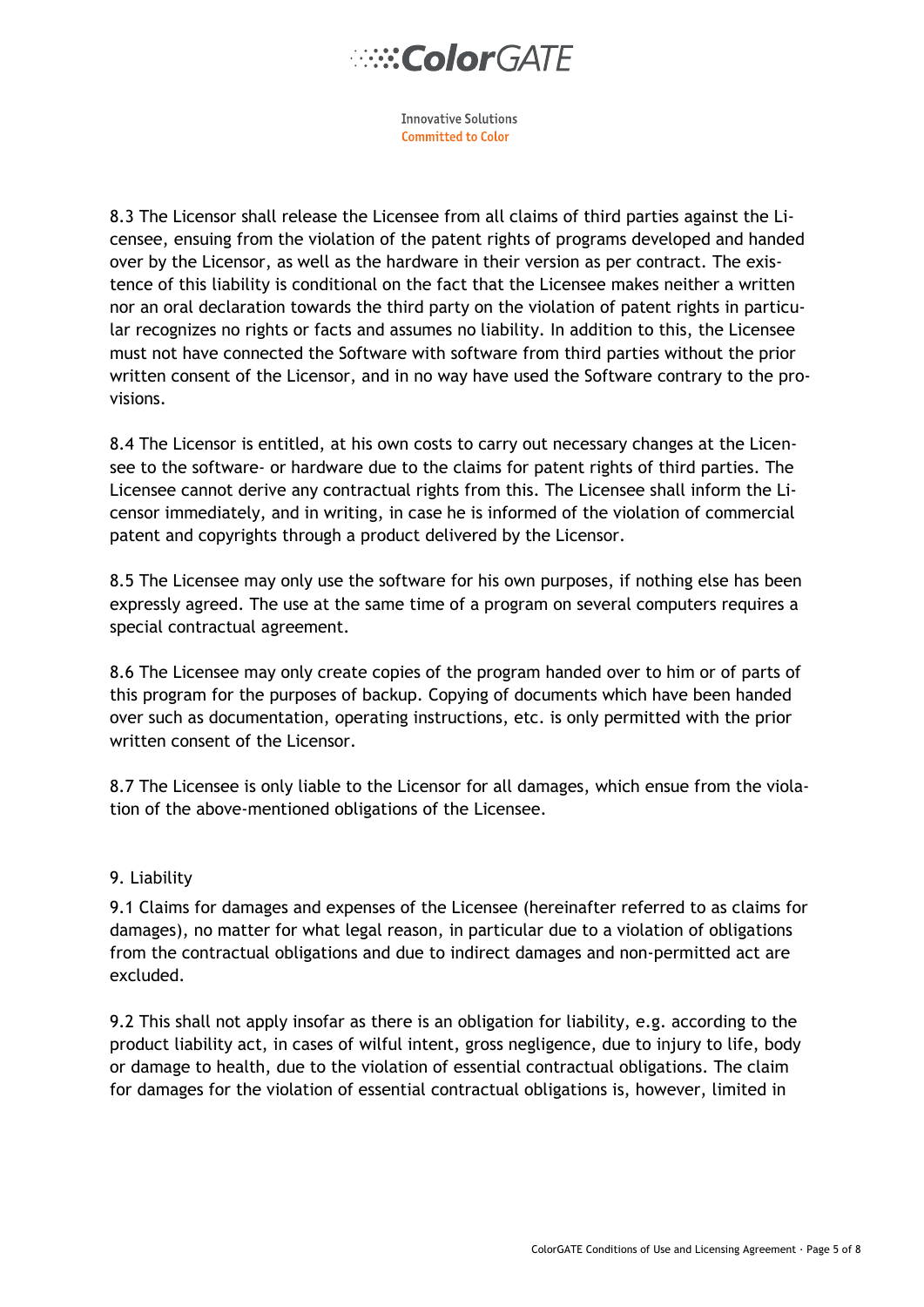**Innovative Solutions Committed to Color** 

8.3 The Licensor shall release the Licensee from all claims of third parties against the Licensee, ensuing from the violation of the patent rights of programs developed and handed over by the Licensor, as well as the hardware in their version as per contract. The existence of this liability is conditional on the fact that the Licensee makes neither a written nor an oral declaration towards the third party on the violation of patent rights in particular recognizes no rights or facts and assumes no liability. In addition to this, the Licensee must not have connected the Software with software from third parties without the prior written consent of the Licensor, and in no way have used the Software contrary to the provisions.

8.4 The Licensor is entitled, at his own costs to carry out necessary changes at the Licensee to the software- or hardware due to the claims for patent rights of third parties. The Licensee cannot derive any contractual rights from this. The Licensee shall inform the Licensor immediately, and in writing, in case he is informed of the violation of commercial patent and copyrights through a product delivered by the Licensor.

8.5 The Licensee may only use the software for his own purposes, if nothing else has been expressly agreed. The use at the same time of a program on several computers requires a special contractual agreement.

8.6 The Licensee may only create copies of the program handed over to him or of parts of this program for the purposes of backup. Copying of documents which have been handed over such as documentation, operating instructions, etc. is only permitted with the prior written consent of the Licensor.

8.7 The Licensee is only liable to the Licensor for all damages, which ensue from the violation of the above-mentioned obligations of the Licensee.

### 9. Liability

9.1 Claims for damages and expenses of the Licensee (hereinafter referred to as claims for damages), no matter for what legal reason, in particular due to a violation of obligations from the contractual obligations and due to indirect damages and non-permitted act are excluded.

9.2 This shall not apply insofar as there is an obligation for liability, e.g. according to the product liability act, in cases of wilful intent, gross negligence, due to injury to life, body or damage to health, due to the violation of essential contractual obligations. The claim for damages for the violation of essential contractual obligations is, however, limited in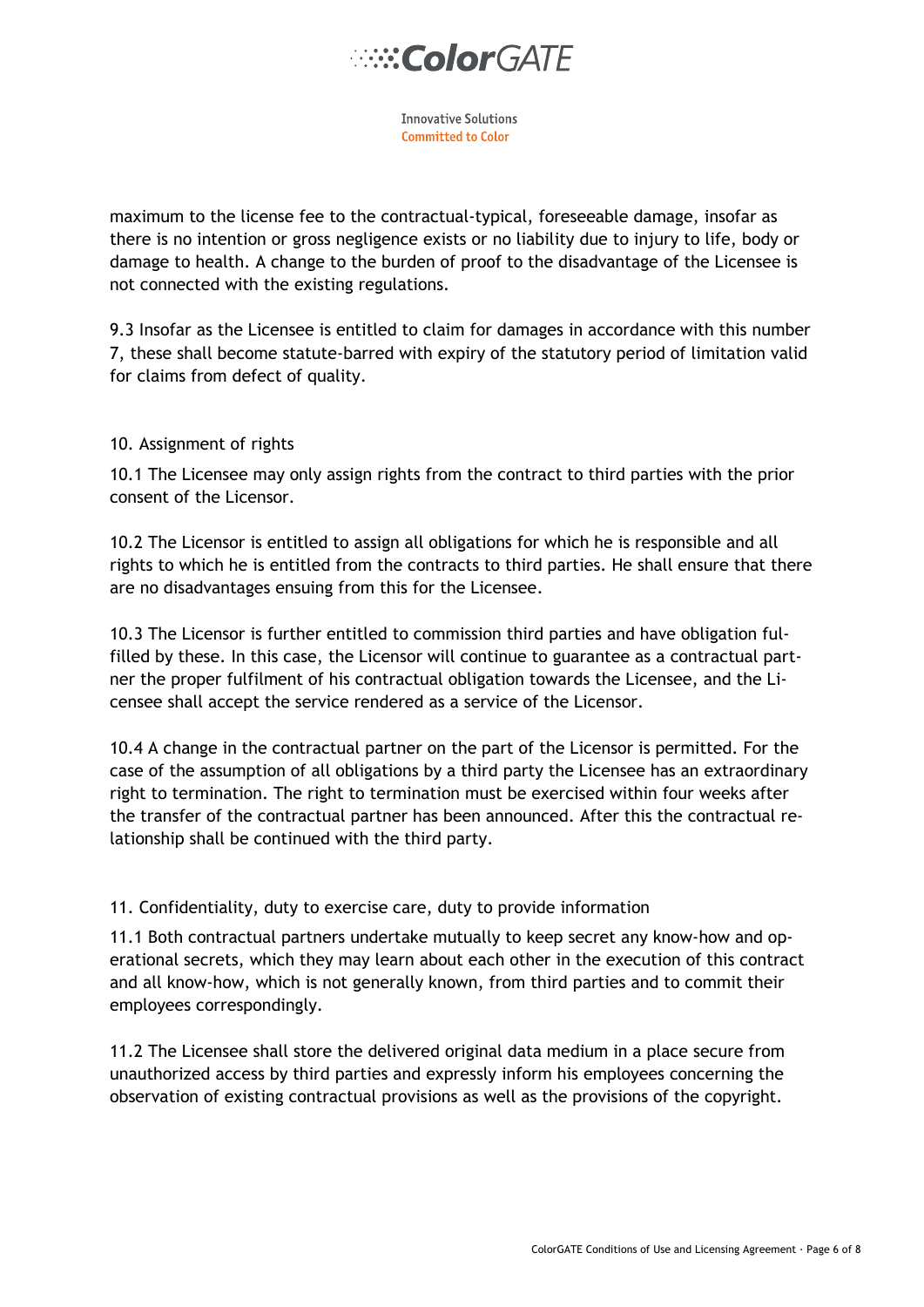# **ColorGATE**

**Innovative Solutions** Committed to Color

maximum to the license fee to the contractual-typical, foreseeable damage, insofar as there is no intention or gross negligence exists or no liability due to injury to life, body or damage to health. A change to the burden of proof to the disadvantage of the Licensee is not connected with the existing regulations.

9.3 Insofar as the Licensee is entitled to claim for damages in accordance with this number 7, these shall become statute-barred with expiry of the statutory period of limitation valid for claims from defect of quality.

### 10. Assignment of rights

10.1 The Licensee may only assign rights from the contract to third parties with the prior consent of the Licensor.

10.2 The Licensor is entitled to assign all obligations for which he is responsible and all rights to which he is entitled from the contracts to third parties. He shall ensure that there are no disadvantages ensuing from this for the Licensee.

10.3 The Licensor is further entitled to commission third parties and have obligation fulfilled by these. In this case, the Licensor will continue to guarantee as a contractual partner the proper fulfilment of his contractual obligation towards the Licensee, and the Licensee shall accept the service rendered as a service of the Licensor.

10.4 A change in the contractual partner on the part of the Licensor is permitted. For the case of the assumption of all obligations by a third party the Licensee has an extraordinary right to termination. The right to termination must be exercised within four weeks after the transfer of the contractual partner has been announced. After this the contractual relationship shall be continued with the third party.

# 11. Confidentiality, duty to exercise care, duty to provide information

11.1 Both contractual partners undertake mutually to keep secret any know-how and operational secrets, which they may learn about each other in the execution of this contract and all know-how, which is not generally known, from third parties and to commit their employees correspondingly.

11.2 The Licensee shall store the delivered original data medium in a place secure from unauthorized access by third parties and expressly inform his employees concerning the observation of existing contractual provisions as well as the provisions of the copyright.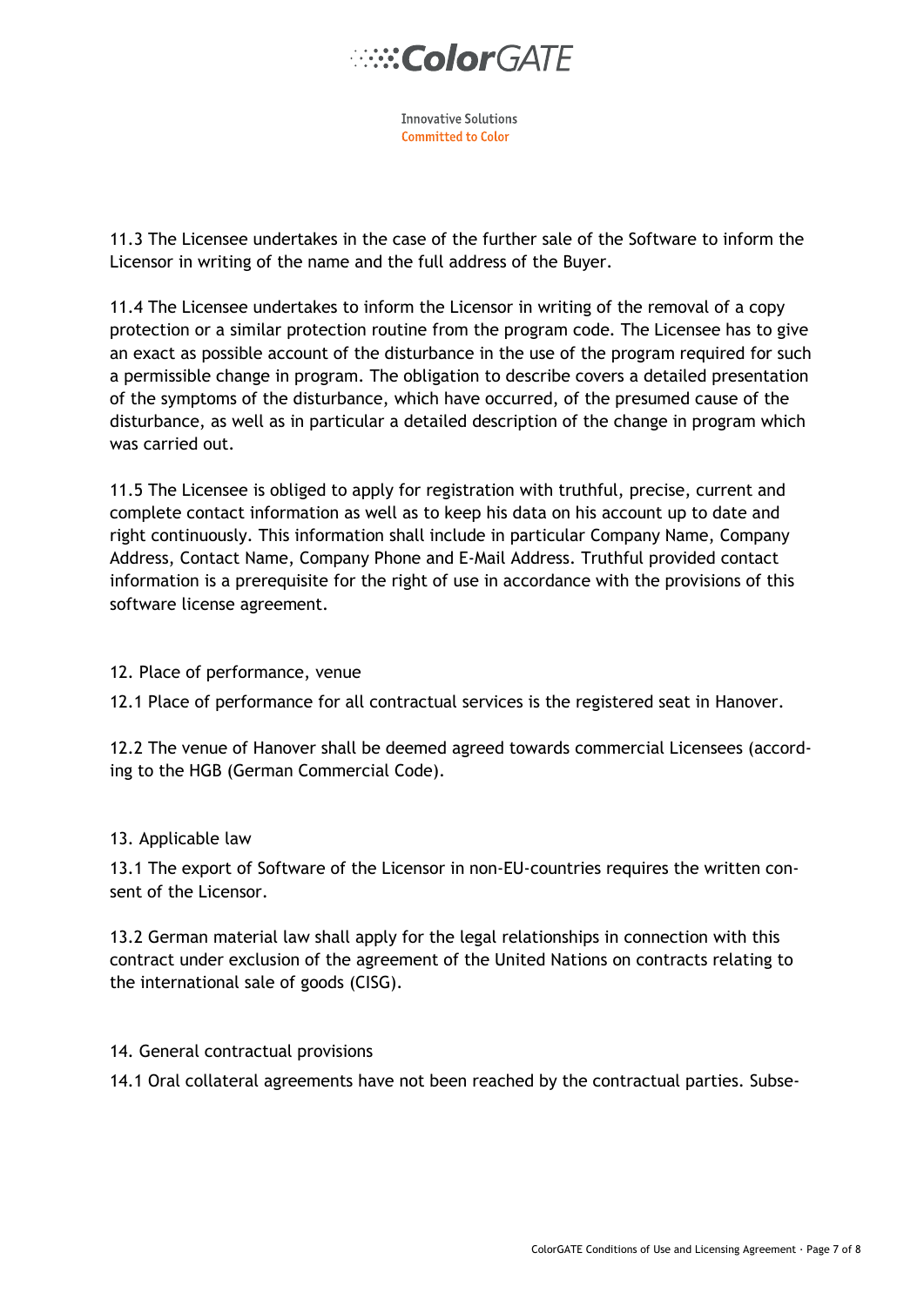**Innovative Solutions Committed to Color** 

11.3 The Licensee undertakes in the case of the further sale of the Software to inform the Licensor in writing of the name and the full address of the Buyer.

11.4 The Licensee undertakes to inform the Licensor in writing of the removal of a copy protection or a similar protection routine from the program code. The Licensee has to give an exact as possible account of the disturbance in the use of the program required for such a permissible change in program. The obligation to describe covers a detailed presentation of the symptoms of the disturbance, which have occurred, of the presumed cause of the disturbance, as well as in particular a detailed description of the change in program which was carried out.

11.5 The Licensee is obliged to apply for registration with truthful, precise, current and complete contact information as well as to keep his data on his account up to date and right continuously. This information shall include in particular Company Name, Company Address, Contact Name, Company Phone and E-Mail Address. Truthful provided contact information is a prerequisite for the right of use in accordance with the provisions of this software license agreement.

# 12. Place of performance, venue

12.1 Place of performance for all contractual services is the registered seat in Hanover.

12.2 The venue of Hanover shall be deemed agreed towards commercial Licensees (according to the HGB (German Commercial Code).

### 13. Applicable law

13.1 The export of Software of the Licensor in non-EU-countries requires the written consent of the Licensor.

13.2 German material law shall apply for the legal relationships in connection with this contract under exclusion of the agreement of the United Nations on contracts relating to the international sale of goods (CISG).

### 14. General contractual provisions

14.1 Oral collateral agreements have not been reached by the contractual parties. Subse-